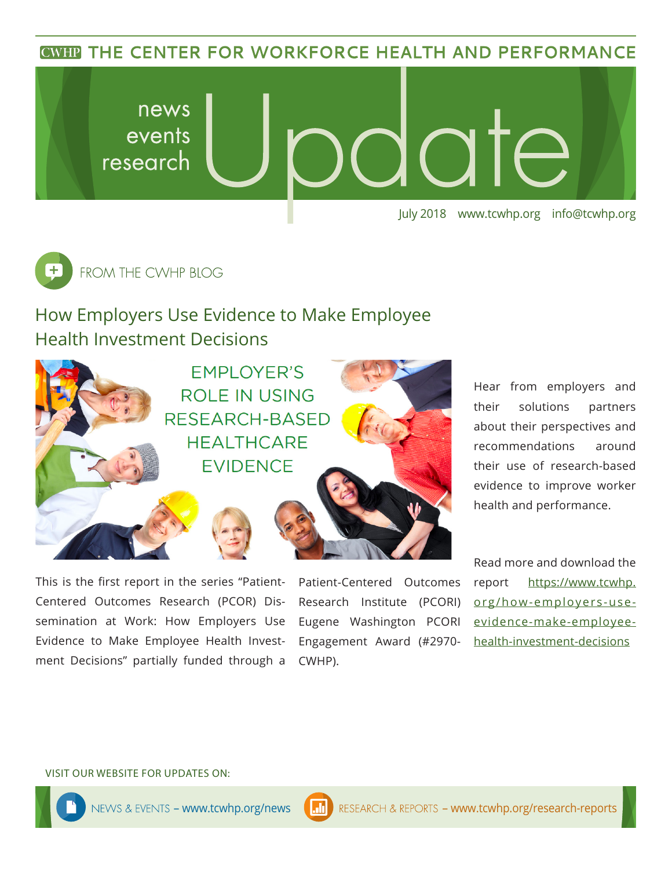**CWHP THE CENTER FOR WORKFORCE HEALTH AND PERFORMANCE** 





# How Employers Use Evidence to Make Employee Health Investment Decisions



This is the first report in the series "Patient-Centered Outcomes Research (PCOR) Dissemination at Work: How Employers Use Evidence to Make Employee Health Investment Decisions" partially funded through a

Patient-Centered Outcomes Research Institute (PCORI) Eugene Washington PCORI Engagement Award (#2970- CWHP).

Hear from employers and their solutions partners about their perspectives and recommendations around their use of research-based evidence to improve worker health and performance.

Read more and download the report [https://www.tcwhp.](https://www.tcwhp.org/how-employers-use-evidence-make-employee-health-investment-decisions) [org/how-employers-use](https://www.tcwhp.org/how-employers-use-evidence-make-employee-health-investment-decisions)[evidence-make-employee](https://www.tcwhp.org/how-employers-use-evidence-make-employee-health-investment-decisions)[health-investment-decisions](https://www.tcwhp.org/how-employers-use-evidence-make-employee-health-investment-decisions)

#### VISIT OUR WEBSITE FOR UPDATES ON: